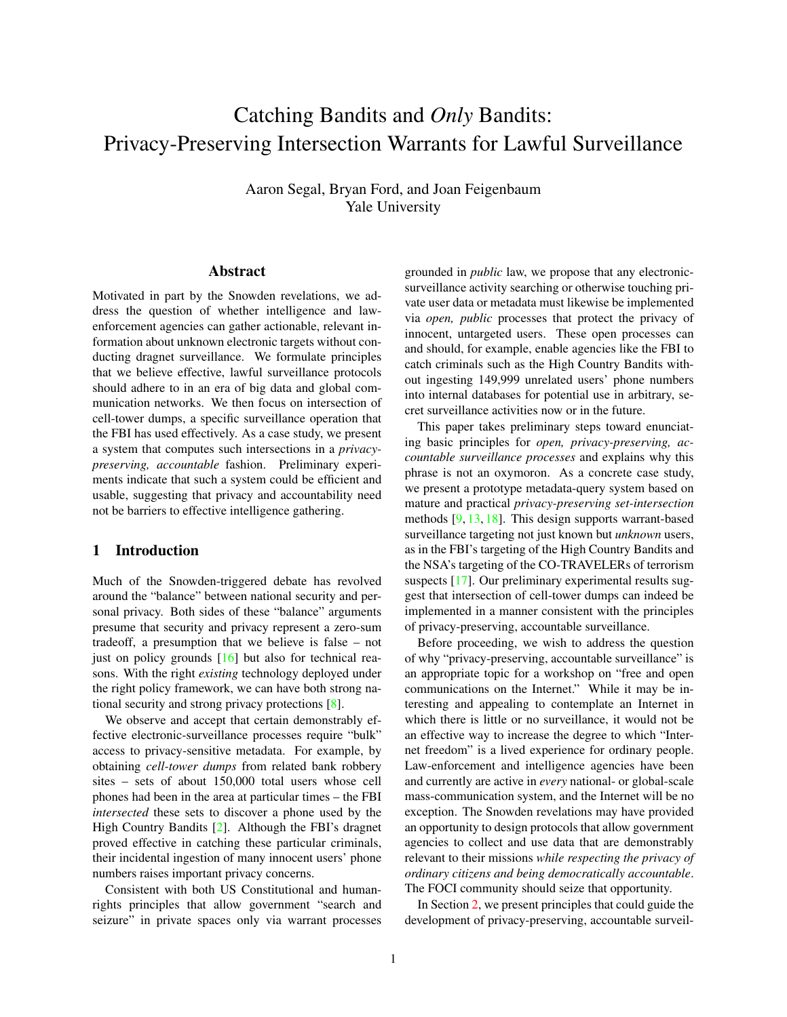# Catching Bandits and *Only* Bandits: Privacy-Preserving Intersection Warrants for Lawful Surveillance

Aaron Segal, Bryan Ford, and Joan Feigenbaum Yale University

#### Abstract

Motivated in part by the Snowden revelations, we address the question of whether intelligence and lawenforcement agencies can gather actionable, relevant information about unknown electronic targets without conducting dragnet surveillance. We formulate principles that we believe effective, lawful surveillance protocols should adhere to in an era of big data and global communication networks. We then focus on intersection of cell-tower dumps, a specific surveillance operation that the FBI has used effectively. As a case study, we present a system that computes such intersections in a *privacypreserving, accountable* fashion. Preliminary experiments indicate that such a system could be efficient and usable, suggesting that privacy and accountability need not be barriers to effective intelligence gathering.

# <span id="page-0-0"></span>1 Introduction

Much of the Snowden-triggered debate has revolved around the "balance" between national security and personal privacy. Both sides of these "balance" arguments presume that security and privacy represent a zero-sum tradeoff, a presumption that we believe is false – not just on policy grounds  $[16]$  but also for technical reasons. With the right *existing* technology deployed under the right policy framework, we can have both strong national security and strong privacy protections [\[8\]](#page-7-1).

We observe and accept that certain demonstrably effective electronic-surveillance processes require "bulk" access to privacy-sensitive metadata. For example, by obtaining *cell-tower dumps* from related bank robbery sites – sets of about 150,000 total users whose cell phones had been in the area at particular times – the FBI *intersected* these sets to discover a phone used by the High Country Bandits [\[2\]](#page-7-2). Although the FBI's dragnet proved effective in catching these particular criminals, their incidental ingestion of many innocent users' phone numbers raises important privacy concerns.

Consistent with both US Constitutional and humanrights principles that allow government "search and seizure" in private spaces only via warrant processes grounded in *public* law, we propose that any electronicsurveillance activity searching or otherwise touching private user data or metadata must likewise be implemented via *open, public* processes that protect the privacy of innocent, untargeted users. These open processes can and should, for example, enable agencies like the FBI to catch criminals such as the High Country Bandits without ingesting 149,999 unrelated users' phone numbers into internal databases for potential use in arbitrary, secret surveillance activities now or in the future.

This paper takes preliminary steps toward enunciating basic principles for *open, privacy-preserving, accountable surveillance processes* and explains why this phrase is not an oxymoron. As a concrete case study, we present a prototype metadata-query system based on mature and practical *privacy-preserving set-intersection* methods [\[9,](#page-7-3) [13,](#page-7-4) [18\]](#page-7-5). This design supports warrant-based surveillance targeting not just known but *unknown* users, as in the FBI's targeting of the High Country Bandits and the NSA's targeting of the CO-TRAVELERs of terrorism suspects [\[17\]](#page-7-6). Our preliminary experimental results suggest that intersection of cell-tower dumps can indeed be implemented in a manner consistent with the principles of privacy-preserving, accountable surveillance.

Before proceeding, we wish to address the question of why "privacy-preserving, accountable surveillance" is an appropriate topic for a workshop on "free and open communications on the Internet." While it may be interesting and appealing to contemplate an Internet in which there is little or no surveillance, it would not be an effective way to increase the degree to which "Internet freedom" is a lived experience for ordinary people. Law-enforcement and intelligence agencies have been and currently are active in *every* national- or global-scale mass-communication system, and the Internet will be no exception. The Snowden revelations may have provided an opportunity to design protocols that allow government agencies to collect and use data that are demonstrably relevant to their missions *while respecting the privacy of ordinary citizens and being democratically accountable*. The FOCI community should seize that opportunity.

In Section [2,](#page-1-0) we present principles that could guide the development of privacy-preserving, accountable surveil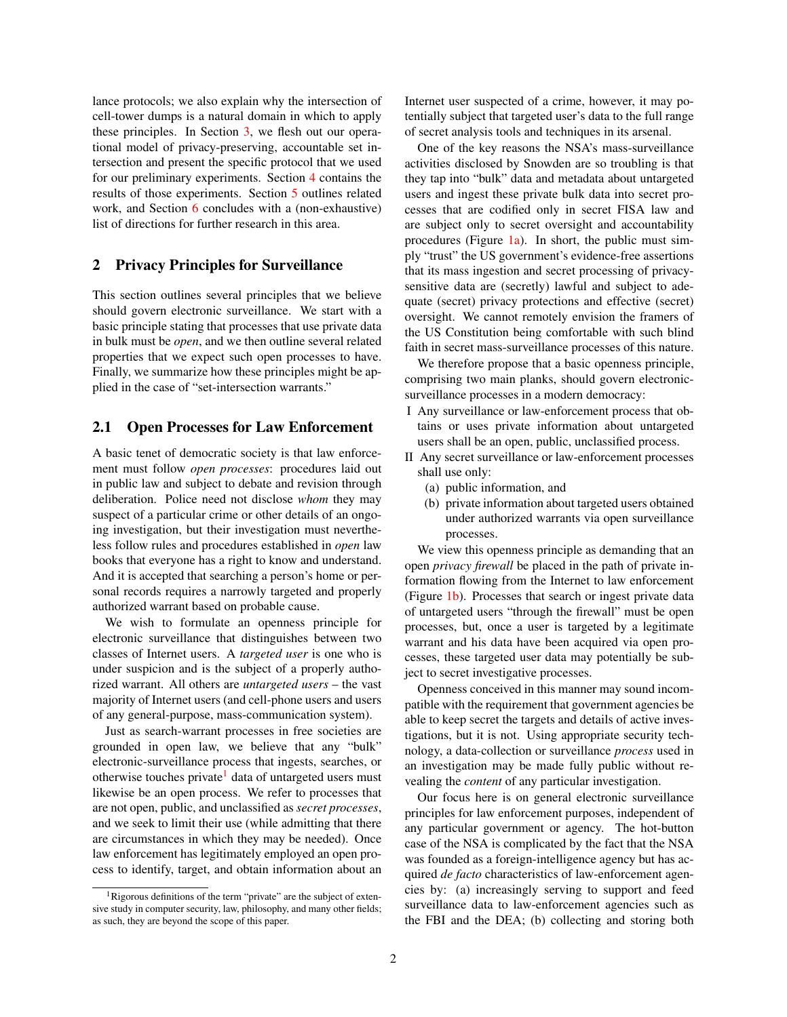lance protocols; we also explain why the intersection of cell-tower dumps is a natural domain in which to apply these principles. In Section [3,](#page-3-0) we flesh out our operational model of privacy-preserving, accountable set intersection and present the specific protocol that we used for our preliminary experiments. Section [4](#page-5-0) contains the results of those experiments. Section [5](#page-6-0) outlines related work, and Section [6](#page-6-1) concludes with a (non-exhaustive) list of directions for further research in this area.

#### <span id="page-1-0"></span>2 Privacy Principles for Surveillance

This section outlines several principles that we believe should govern electronic surveillance. We start with a basic principle stating that processes that use private data in bulk must be *open*, and we then outline several related properties that we expect such open processes to have. Finally, we summarize how these principles might be applied in the case of "set-intersection warrants."

#### <span id="page-1-2"></span>2.1 Open Processes for Law Enforcement

A basic tenet of democratic society is that law enforcement must follow *open processes*: procedures laid out in public law and subject to debate and revision through deliberation. Police need not disclose *whom* they may suspect of a particular crime or other details of an ongoing investigation, but their investigation must nevertheless follow rules and procedures established in *open* law books that everyone has a right to know and understand. And it is accepted that searching a person's home or personal records requires a narrowly targeted and properly authorized warrant based on probable cause.

We wish to formulate an openness principle for electronic surveillance that distinguishes between two classes of Internet users. A *targeted user* is one who is under suspicion and is the subject of a properly authorized warrant. All others are *untargeted users* – the vast majority of Internet users (and cell-phone users and users of any general-purpose, mass-communication system).

Just as search-warrant processes in free societies are grounded in open law, we believe that any "bulk" electronic-surveillance process that ingests, searches, or otherwise touches private<sup>[1](#page-1-1)</sup> data of untargeted users must likewise be an open process. We refer to processes that are not open, public, and unclassified as *secret processes*, and we seek to limit their use (while admitting that there are circumstances in which they may be needed). Once law enforcement has legitimately employed an open process to identify, target, and obtain information about an Internet user suspected of a crime, however, it may potentially subject that targeted user's data to the full range of secret analysis tools and techniques in its arsenal.

One of the key reasons the NSA's mass-surveillance activities disclosed by Snowden are so troubling is that they tap into "bulk" data and metadata about untargeted users and ingest these private bulk data into secret processes that are codified only in secret FISA law and are subject only to secret oversight and accountability procedures (Figure  $1a$ ). In short, the public must simply "trust" the US government's evidence-free assertions that its mass ingestion and secret processing of privacysensitive data are (secretly) lawful and subject to adequate (secret) privacy protections and effective (secret) oversight. We cannot remotely envision the framers of the US Constitution being comfortable with such blind faith in secret mass-surveillance processes of this nature.

We therefore propose that a basic openness principle, comprising two main planks, should govern electronicsurveillance processes in a modern democracy:

- I Any surveillance or law-enforcement process that obtains or uses private information about untargeted users shall be an open, public, unclassified process.
- II Any secret surveillance or law-enforcement processes shall use only:
	- (a) public information, and
	- (b) private information about targeted users obtained under authorized warrants via open surveillance processes.

We view this openness principle as demanding that an open *privacy firewall* be placed in the path of private information flowing from the Internet to law enforcement (Figure [1b\)](#page-2-0). Processes that search or ingest private data of untargeted users "through the firewall" must be open processes, but, once a user is targeted by a legitimate warrant and his data have been acquired via open processes, these targeted user data may potentially be subject to secret investigative processes.

Openness conceived in this manner may sound incompatible with the requirement that government agencies be able to keep secret the targets and details of active investigations, but it is not. Using appropriate security technology, a data-collection or surveillance *process* used in an investigation may be made fully public without revealing the *content* of any particular investigation.

Our focus here is on general electronic surveillance principles for law enforcement purposes, independent of any particular government or agency. The hot-button case of the NSA is complicated by the fact that the NSA was founded as a foreign-intelligence agency but has acquired *de facto* characteristics of law-enforcement agencies by: (a) increasingly serving to support and feed surveillance data to law-enforcement agencies such as the FBI and the DEA; (b) collecting and storing both

<span id="page-1-1"></span><sup>&</sup>lt;sup>1</sup>Rigorous definitions of the term "private" are the subject of extensive study in computer security, law, philosophy, and many other fields; as such, they are beyond the scope of this paper.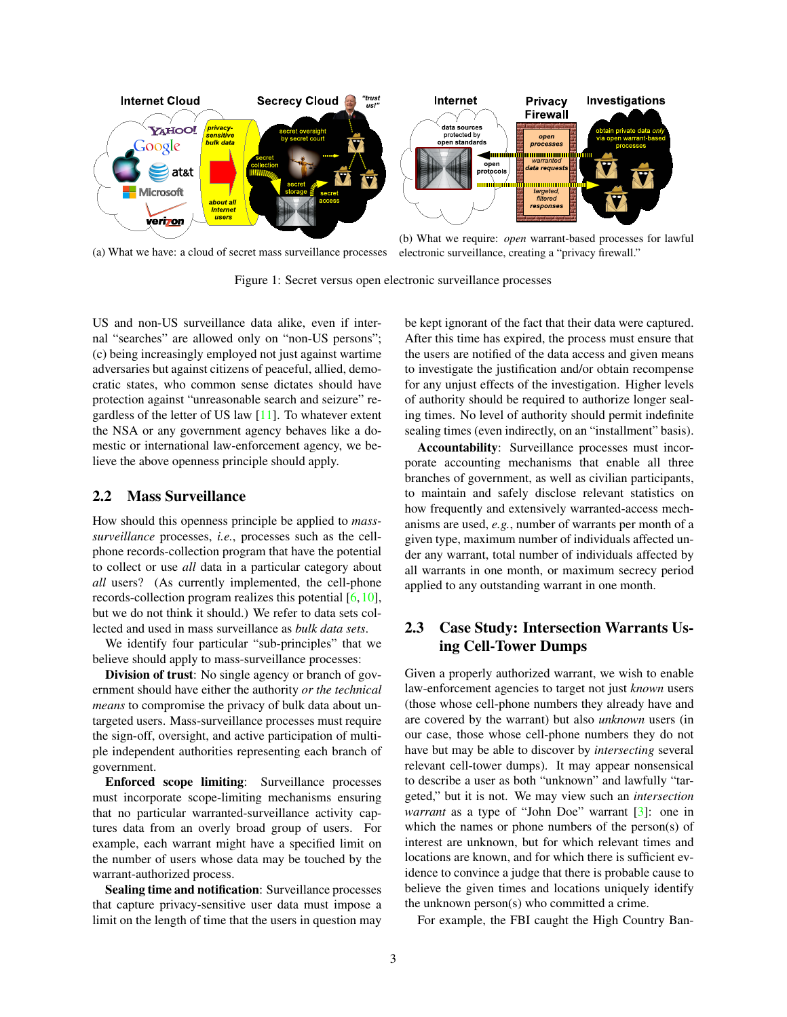<span id="page-2-0"></span>

(a) What we have: a cloud of secret mass surveillance processes electronic surveillance, creating a "privacy firewall."

Figure 1: Secret versus open electronic surveillance processes

US and non-US surveillance data alike, even if internal "searches" are allowed only on "non-US persons"; (c) being increasingly employed not just against wartime adversaries but against citizens of peaceful, allied, democratic states, who common sense dictates should have protection against "unreasonable search and seizure" regardless of the letter of US law  $[11]$ . To whatever extent the NSA or any government agency behaves like a domestic or international law-enforcement agency, we believe the above openness principle should apply.

#### 2.2 Mass Surveillance

How should this openness principle be applied to *masssurveillance* processes, *i.e.*, processes such as the cellphone records-collection program that have the potential to collect or use *all* data in a particular category about *all* users? (As currently implemented, the cell-phone records-collection program realizes this potential [\[6,](#page-7-8)[10\]](#page-7-9), but we do not think it should.) We refer to data sets collected and used in mass surveillance as *bulk data sets*.

We identify four particular "sub-principles" that we believe should apply to mass-surveillance processes:

Division of trust: No single agency or branch of government should have either the authority *or the technical means* to compromise the privacy of bulk data about untargeted users. Mass-surveillance processes must require the sign-off, oversight, and active participation of multiple independent authorities representing each branch of government.

Enforced scope limiting: Surveillance processes must incorporate scope-limiting mechanisms ensuring that no particular warranted-surveillance activity captures data from an overly broad group of users. For example, each warrant might have a specified limit on the number of users whose data may be touched by the warrant-authorized process.

Sealing time and notification: Surveillance processes that capture privacy-sensitive user data must impose a limit on the length of time that the users in question may be kept ignorant of the fact that their data were captured. After this time has expired, the process must ensure that the users are notified of the data access and given means to investigate the justification and/or obtain recompense for any unjust effects of the investigation. Higher levels of authority should be required to authorize longer sealing times. No level of authority should permit indefinite sealing times (even indirectly, on an "installment" basis).

Accountability: Surveillance processes must incorporate accounting mechanisms that enable all three branches of government, as well as civilian participants, to maintain and safely disclose relevant statistics on how frequently and extensively warranted-access mechanisms are used, *e.g.*, number of warrants per month of a given type, maximum number of individuals affected under any warrant, total number of individuals affected by all warrants in one month, or maximum secrecy period applied to any outstanding warrant in one month.

# 2.3 Case Study: Intersection Warrants Using Cell-Tower Dumps

Given a properly authorized warrant, we wish to enable law-enforcement agencies to target not just *known* users (those whose cell-phone numbers they already have and are covered by the warrant) but also *unknown* users (in our case, those whose cell-phone numbers they do not have but may be able to discover by *intersecting* several relevant cell-tower dumps). It may appear nonsensical to describe a user as both "unknown" and lawfully "targeted," but it is not. We may view such an *intersection warrant* as a type of "John Doe" warrant [\[3\]](#page-7-10): one in which the names or phone numbers of the person(s) of interest are unknown, but for which relevant times and locations are known, and for which there is sufficient evidence to convince a judge that there is probable cause to believe the given times and locations uniquely identify the unknown person(s) who committed a crime.

For example, the FBI caught the High Country Ban-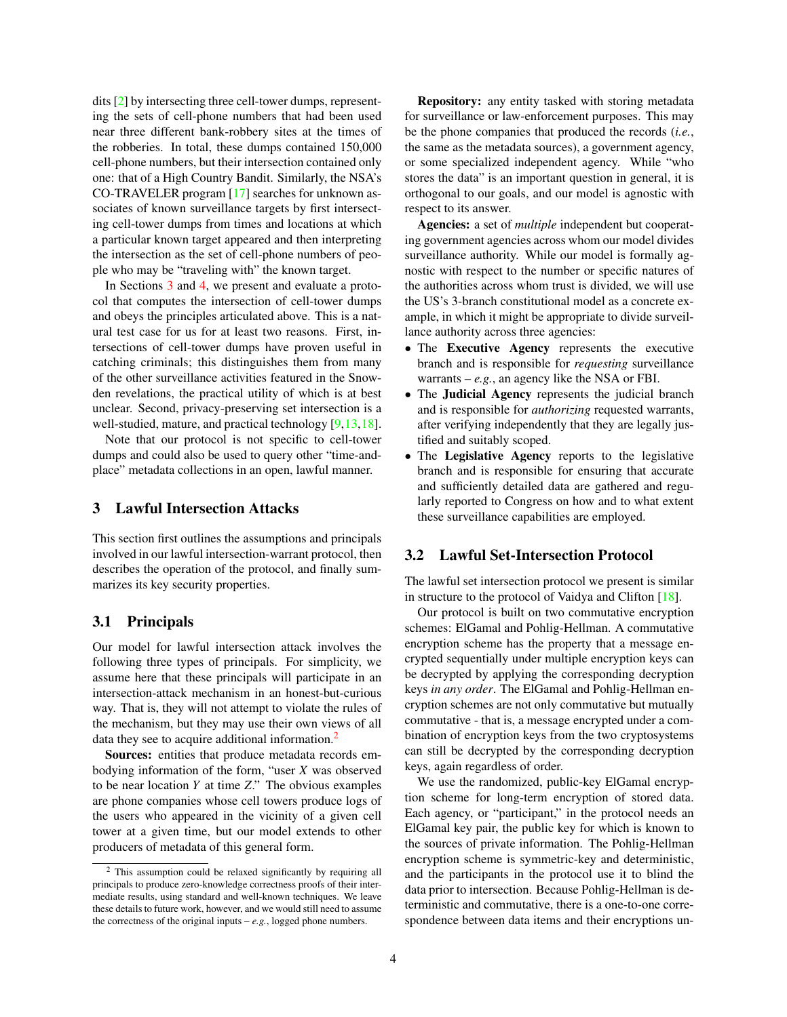dits [\[2\]](#page-7-2) by intersecting three cell-tower dumps, representing the sets of cell-phone numbers that had been used near three different bank-robbery sites at the times of the robberies. In total, these dumps contained 150,000 cell-phone numbers, but their intersection contained only one: that of a High Country Bandit. Similarly, the NSA's CO-TRAVELER program [\[17\]](#page-7-6) searches for unknown associates of known surveillance targets by first intersecting cell-tower dumps from times and locations at which a particular known target appeared and then interpreting the intersection as the set of cell-phone numbers of people who may be "traveling with" the known target.

In Sections [3](#page-3-0) and [4,](#page-5-0) we present and evaluate a protocol that computes the intersection of cell-tower dumps and obeys the principles articulated above. This is a natural test case for us for at least two reasons. First, intersections of cell-tower dumps have proven useful in catching criminals; this distinguishes them from many of the other surveillance activities featured in the Snowden revelations, the practical utility of which is at best unclear. Second, privacy-preserving set intersection is a well-studied, mature, and practical technology [\[9](#page-7-3)[,13](#page-7-4)[,18\]](#page-7-5).

Note that our protocol is not specific to cell-tower dumps and could also be used to query other "time-andplace" metadata collections in an open, lawful manner.

## <span id="page-3-0"></span>3 Lawful Intersection Attacks

This section first outlines the assumptions and principals involved in our lawful intersection-warrant protocol, then describes the operation of the protocol, and finally summarizes its key security properties.

#### <span id="page-3-2"></span>3.1 Principals

Our model for lawful intersection attack involves the following three types of principals. For simplicity, we assume here that these principals will participate in an intersection-attack mechanism in an honest-but-curious way. That is, they will not attempt to violate the rules of the mechanism, but they may use their own views of all data they see to acquire additional information.<sup>[2](#page-3-1)</sup>

Sources: entities that produce metadata records embodying information of the form, "user *X* was observed to be near location *Y* at time *Z*." The obvious examples are phone companies whose cell towers produce logs of the users who appeared in the vicinity of a given cell tower at a given time, but our model extends to other producers of metadata of this general form.

Repository: any entity tasked with storing metadata for surveillance or law-enforcement purposes. This may be the phone companies that produced the records (*i.e.*, the same as the metadata sources), a government agency, or some specialized independent agency. While "who stores the data" is an important question in general, it is orthogonal to our goals, and our model is agnostic with respect to its answer.

Agencies: a set of *multiple* independent but cooperating government agencies across whom our model divides surveillance authority. While our model is formally agnostic with respect to the number or specific natures of the authorities across whom trust is divided, we will use the US's 3-branch constitutional model as a concrete example, in which it might be appropriate to divide surveillance authority across three agencies:

- The Executive Agency represents the executive branch and is responsible for *requesting* surveillance warrants –  $e.g.,$  an agency like the NSA or FBI.
- The Judicial Agency represents the judicial branch and is responsible for *authorizing* requested warrants, after verifying independently that they are legally justified and suitably scoped.
- The Legislative Agency reports to the legislative branch and is responsible for ensuring that accurate and sufficiently detailed data are gathered and regularly reported to Congress on how and to what extent these surveillance capabilities are employed.

#### <span id="page-3-3"></span>3.2 Lawful Set-Intersection Protocol

The lawful set intersection protocol we present is similar in structure to the protocol of Vaidya and Clifton [\[18\]](#page-7-5).

Our protocol is built on two commutative encryption schemes: ElGamal and Pohlig-Hellman. A commutative encryption scheme has the property that a message encrypted sequentially under multiple encryption keys can be decrypted by applying the corresponding decryption keys *in any order*. The ElGamal and Pohlig-Hellman encryption schemes are not only commutative but mutually commutative - that is, a message encrypted under a combination of encryption keys from the two cryptosystems can still be decrypted by the corresponding decryption keys, again regardless of order.

We use the randomized, public-key ElGamal encryption scheme for long-term encryption of stored data. Each agency, or "participant," in the protocol needs an ElGamal key pair, the public key for which is known to the sources of private information. The Pohlig-Hellman encryption scheme is symmetric-key and deterministic, and the participants in the protocol use it to blind the data prior to intersection. Because Pohlig-Hellman is deterministic and commutative, there is a one-to-one correspondence between data items and their encryptions un-

<span id="page-3-1"></span><sup>2</sup> This assumption could be relaxed significantly by requiring all principals to produce zero-knowledge correctness proofs of their intermediate results, using standard and well-known techniques. We leave these details to future work, however, and we would still need to assume the correctness of the original inputs  $-e.g.,$  logged phone numbers.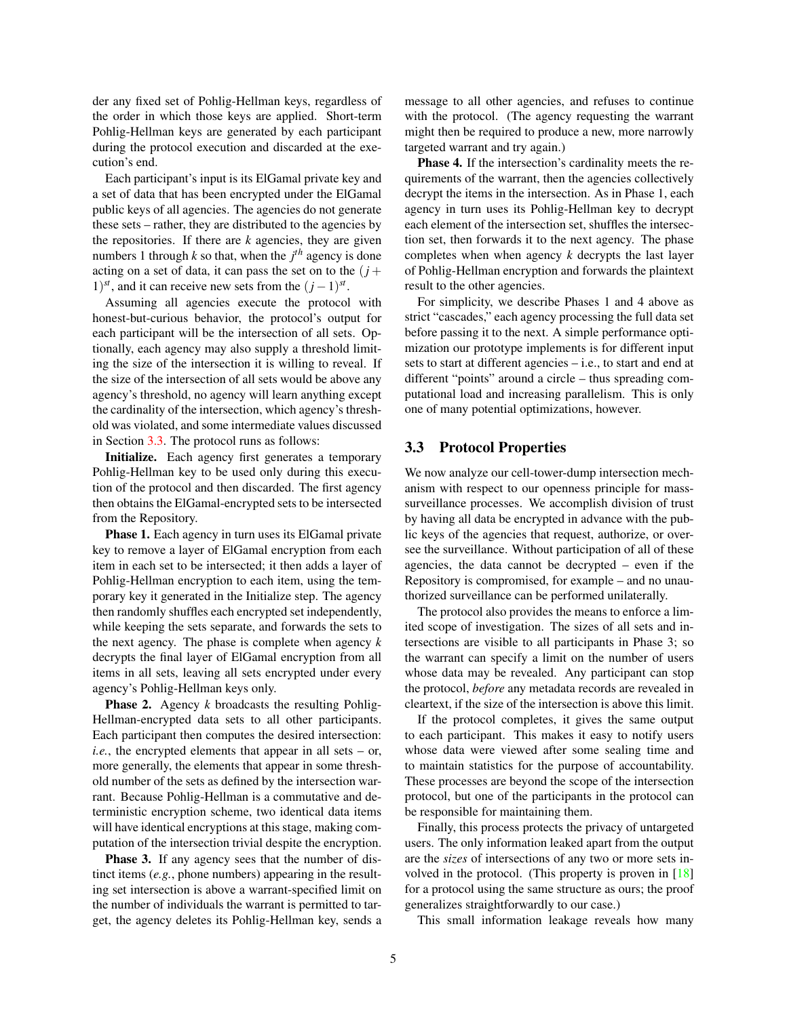der any fixed set of Pohlig-Hellman keys, regardless of the order in which those keys are applied. Short-term Pohlig-Hellman keys are generated by each participant during the protocol execution and discarded at the execution's end.

Each participant's input is its ElGamal private key and a set of data that has been encrypted under the ElGamal public keys of all agencies. The agencies do not generate these sets – rather, they are distributed to the agencies by the repositories. If there are *k* agencies, they are given numbers 1 through  $k$  so that, when the  $j<sup>th</sup>$  agency is done acting on a set of data, it can pass the set on to the  $(j +$ 1)<sup>st</sup>, and it can receive new sets from the  $(j-1)^{st}$ .

Assuming all agencies execute the protocol with honest-but-curious behavior, the protocol's output for each participant will be the intersection of all sets. Optionally, each agency may also supply a threshold limiting the size of the intersection it is willing to reveal. If the size of the intersection of all sets would be above any agency's threshold, no agency will learn anything except the cardinality of the intersection, which agency's threshold was violated, and some intermediate values discussed in Section [3.3.](#page-4-0) The protocol runs as follows:

Initialize. Each agency first generates a temporary Pohlig-Hellman key to be used only during this execution of the protocol and then discarded. The first agency then obtains the ElGamal-encrypted sets to be intersected from the Repository.

Phase 1. Each agency in turn uses its ElGamal private key to remove a layer of ElGamal encryption from each item in each set to be intersected; it then adds a layer of Pohlig-Hellman encryption to each item, using the temporary key it generated in the Initialize step. The agency then randomly shuffles each encrypted set independently, while keeping the sets separate, and forwards the sets to the next agency. The phase is complete when agency *k* decrypts the final layer of ElGamal encryption from all items in all sets, leaving all sets encrypted under every agency's Pohlig-Hellman keys only.

Phase 2. Agency *k* broadcasts the resulting Pohlig-Hellman-encrypted data sets to all other participants. Each participant then computes the desired intersection: *i.e.*, the encrypted elements that appear in all sets – or, more generally, the elements that appear in some threshold number of the sets as defined by the intersection warrant. Because Pohlig-Hellman is a commutative and deterministic encryption scheme, two identical data items will have identical encryptions at this stage, making computation of the intersection trivial despite the encryption.

**Phase 3.** If any agency sees that the number of distinct items (*e.g.*, phone numbers) appearing in the resulting set intersection is above a warrant-specified limit on the number of individuals the warrant is permitted to target, the agency deletes its Pohlig-Hellman key, sends a message to all other agencies, and refuses to continue with the protocol. (The agency requesting the warrant might then be required to produce a new, more narrowly targeted warrant and try again.)

Phase 4. If the intersection's cardinality meets the requirements of the warrant, then the agencies collectively decrypt the items in the intersection. As in Phase 1, each agency in turn uses its Pohlig-Hellman key to decrypt each element of the intersection set, shuffles the intersection set, then forwards it to the next agency. The phase completes when when agency *k* decrypts the last layer of Pohlig-Hellman encryption and forwards the plaintext result to the other agencies.

For simplicity, we describe Phases 1 and 4 above as strict "cascades," each agency processing the full data set before passing it to the next. A simple performance optimization our prototype implements is for different input sets to start at different agencies – i.e., to start and end at different "points" around a circle – thus spreading computational load and increasing parallelism. This is only one of many potential optimizations, however.

#### <span id="page-4-0"></span>3.3 Protocol Properties

We now analyze our cell-tower-dump intersection mechanism with respect to our openness principle for masssurveillance processes. We accomplish division of trust by having all data be encrypted in advance with the public keys of the agencies that request, authorize, or oversee the surveillance. Without participation of all of these agencies, the data cannot be decrypted – even if the Repository is compromised, for example – and no unauthorized surveillance can be performed unilaterally.

The protocol also provides the means to enforce a limited scope of investigation. The sizes of all sets and intersections are visible to all participants in Phase 3; so the warrant can specify a limit on the number of users whose data may be revealed. Any participant can stop the protocol, *before* any metadata records are revealed in cleartext, if the size of the intersection is above this limit.

If the protocol completes, it gives the same output to each participant. This makes it easy to notify users whose data were viewed after some sealing time and to maintain statistics for the purpose of accountability. These processes are beyond the scope of the intersection protocol, but one of the participants in the protocol can be responsible for maintaining them.

Finally, this process protects the privacy of untargeted users. The only information leaked apart from the output are the *sizes* of intersections of any two or more sets involved in the protocol. (This property is proven in [\[18\]](#page-7-5) for a protocol using the same structure as ours; the proof generalizes straightforwardly to our case.)

This small information leakage reveals how many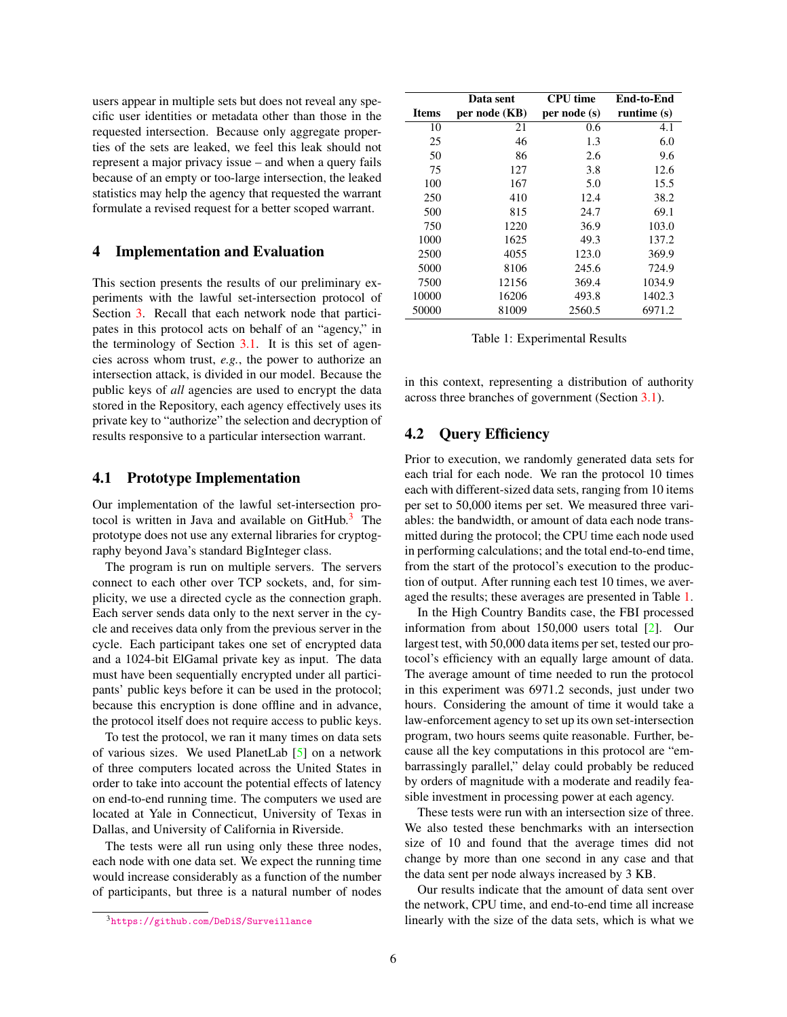users appear in multiple sets but does not reveal any specific user identities or metadata other than those in the requested intersection. Because only aggregate properties of the sets are leaked, we feel this leak should not represent a major privacy issue – and when a query fails because of an empty or too-large intersection, the leaked statistics may help the agency that requested the warrant formulate a revised request for a better scoped warrant.

#### <span id="page-5-0"></span>4 Implementation and Evaluation

This section presents the results of our preliminary experiments with the lawful set-intersection protocol of Section [3.](#page-3-0) Recall that each network node that participates in this protocol acts on behalf of an "agency," in the terminology of Section [3.1.](#page-3-2) It is this set of agencies across whom trust, *e.g.*, the power to authorize an intersection attack, is divided in our model. Because the public keys of *all* agencies are used to encrypt the data stored in the Repository, each agency effectively uses its private key to "authorize" the selection and decryption of results responsive to a particular intersection warrant.

#### 4.1 Prototype Implementation

Our implementation of the lawful set-intersection protocol is written in Java and available on  $G$ itHub.<sup>[3](#page-5-1)</sup> The prototype does not use any external libraries for cryptography beyond Java's standard BigInteger class.

The program is run on multiple servers. The servers connect to each other over TCP sockets, and, for simplicity, we use a directed cycle as the connection graph. Each server sends data only to the next server in the cycle and receives data only from the previous server in the cycle. Each participant takes one set of encrypted data and a 1024-bit ElGamal private key as input. The data must have been sequentially encrypted under all participants' public keys before it can be used in the protocol; because this encryption is done offline and in advance, the protocol itself does not require access to public keys.

To test the protocol, we ran it many times on data sets of various sizes. We used PlanetLab [\[5\]](#page-7-11) on a network of three computers located across the United States in order to take into account the potential effects of latency on end-to-end running time. The computers we used are located at Yale in Connecticut, University of Texas in Dallas, and University of California in Riverside.

The tests were all run using only these three nodes, each node with one data set. We expect the running time would increase considerably as a function of the number of participants, but three is a natural number of nodes

<span id="page-5-2"></span>

|              | Data sent     | <b>CPU</b> time | End-to-End  |
|--------------|---------------|-----------------|-------------|
| <b>Items</b> | per node (KB) | per node (s)    | runtime (s) |
| 10           | 21            | 0.6             | 4.1         |
| 25           | 46            | 1.3             | 6.0         |
| 50           | 86            | 2.6             | 9.6         |
| 75           | 127           | 3.8             | 12.6        |
| 100          | 167           | 5.0             | 15.5        |
| 250          | 410           | 12.4            | 38.2        |
| 500          | 815           | 24.7            | 69.1        |
| 750          | 1220          | 36.9            | 103.0       |
| 1000         | 1625          | 49.3            | 137.2       |
| 2500         | 4055          | 123.0           | 369.9       |
| 5000         | 8106          | 245.6           | 724.9       |
| 7500         | 12156         | 369.4           | 1034.9      |
| 10000        | 16206         | 493.8           | 1402.3      |
| 50000        | 81009         | 2560.5          | 6971.2      |

Table 1: Experimental Results

in this context, representing a distribution of authority across three branches of government (Section [3.1\)](#page-3-2).

#### 4.2 Query Efficiency

Prior to execution, we randomly generated data sets for each trial for each node. We ran the protocol 10 times each with different-sized data sets, ranging from 10 items per set to 50,000 items per set. We measured three variables: the bandwidth, or amount of data each node transmitted during the protocol; the CPU time each node used in performing calculations; and the total end-to-end time, from the start of the protocol's execution to the production of output. After running each test 10 times, we averaged the results; these averages are presented in Table [1.](#page-5-2)

In the High Country Bandits case, the FBI processed information from about 150,000 users total [\[2\]](#page-7-2). Our largest test, with 50,000 data items per set, tested our protocol's efficiency with an equally large amount of data. The average amount of time needed to run the protocol in this experiment was 6971.2 seconds, just under two hours. Considering the amount of time it would take a law-enforcement agency to set up its own set-intersection program, two hours seems quite reasonable. Further, because all the key computations in this protocol are "embarrassingly parallel," delay could probably be reduced by orders of magnitude with a moderate and readily feasible investment in processing power at each agency.

These tests were run with an intersection size of three. We also tested these benchmarks with an intersection size of 10 and found that the average times did not change by more than one second in any case and that the data sent per node always increased by 3 KB.

Our results indicate that the amount of data sent over the network, CPU time, and end-to-end time all increase linearly with the size of the data sets, which is what we

<span id="page-5-1"></span><sup>3</sup><https://github.com/DeDiS/Surveillance>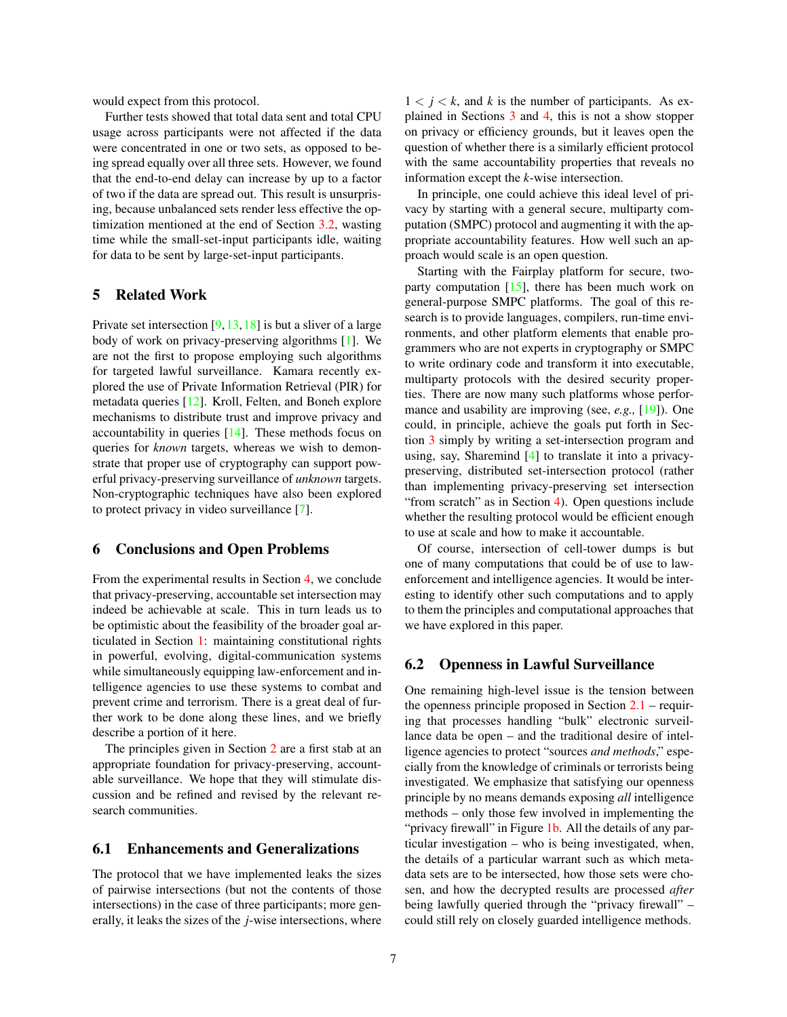would expect from this protocol.

Further tests showed that total data sent and total CPU usage across participants were not affected if the data were concentrated in one or two sets, as opposed to being spread equally over all three sets. However, we found that the end-to-end delay can increase by up to a factor of two if the data are spread out. This result is unsurprising, because unbalanced sets render less effective the optimization mentioned at the end of Section [3.2,](#page-3-3) wasting time while the small-set-input participants idle, waiting for data to be sent by large-set-input participants.

# <span id="page-6-0"></span>5 Related Work

Private set intersection  $[9,13,18]$  $[9,13,18]$  $[9,13,18]$  is but a sliver of a large body of work on privacy-preserving algorithms [\[1\]](#page-7-12). We are not the first to propose employing such algorithms for targeted lawful surveillance. Kamara recently explored the use of Private Information Retrieval (PIR) for metadata queries [\[12\]](#page-7-13). Kroll, Felten, and Boneh explore mechanisms to distribute trust and improve privacy and accountability in queries [\[14\]](#page-7-14). These methods focus on queries for *known* targets, whereas we wish to demonstrate that proper use of cryptography can support powerful privacy-preserving surveillance of *unknown* targets. Non-cryptographic techniques have also been explored to protect privacy in video surveillance [\[7\]](#page-7-15).

#### <span id="page-6-1"></span>6 Conclusions and Open Problems

From the experimental results in Section [4,](#page-5-0) we conclude that privacy-preserving, accountable set intersection may indeed be achievable at scale. This in turn leads us to be optimistic about the feasibility of the broader goal articulated in Section [1:](#page-0-0) maintaining constitutional rights in powerful, evolving, digital-communication systems while simultaneously equipping law-enforcement and intelligence agencies to use these systems to combat and prevent crime and terrorism. There is a great deal of further work to be done along these lines, and we briefly describe a portion of it here.

The principles given in Section [2](#page-1-0) are a first stab at an appropriate foundation for privacy-preserving, accountable surveillance. We hope that they will stimulate discussion and be refined and revised by the relevant research communities.

# 6.1 Enhancements and Generalizations

The protocol that we have implemented leaks the sizes of pairwise intersections (but not the contents of those intersections) in the case of three participants; more generally, it leaks the sizes of the *j*-wise intersections, where

 $1 < j < k$ , and k is the number of participants. As explained in Sections [3](#page-3-0) and [4,](#page-5-0) this is not a show stopper on privacy or efficiency grounds, but it leaves open the question of whether there is a similarly efficient protocol with the same accountability properties that reveals no information except the *k*-wise intersection.

In principle, one could achieve this ideal level of privacy by starting with a general secure, multiparty computation (SMPC) protocol and augmenting it with the appropriate accountability features. How well such an approach would scale is an open question.

Starting with the Fairplay platform for secure, twoparty computation  $[15]$ , there has been much work on general-purpose SMPC platforms. The goal of this research is to provide languages, compilers, run-time environments, and other platform elements that enable programmers who are not experts in cryptography or SMPC to write ordinary code and transform it into executable, multiparty protocols with the desired security properties. There are now many such platforms whose performance and usability are improving (see, *e.g.,* [\[19\]](#page-7-17)). One could, in principle, achieve the goals put forth in Section [3](#page-3-0) simply by writing a set-intersection program and using, say, Sharemind [\[4\]](#page-7-18) to translate it into a privacypreserving, distributed set-intersection protocol (rather than implementing privacy-preserving set intersection "from scratch" as in Section [4\)](#page-5-0). Open questions include whether the resulting protocol would be efficient enough to use at scale and how to make it accountable.

Of course, intersection of cell-tower dumps is but one of many computations that could be of use to lawenforcement and intelligence agencies. It would be interesting to identify other such computations and to apply to them the principles and computational approaches that we have explored in this paper.

#### 6.2 Openness in Lawful Surveillance

One remaining high-level issue is the tension between the openness principle proposed in Section  $2.1$  – requiring that processes handling "bulk" electronic surveillance data be open – and the traditional desire of intelligence agencies to protect "sources *and methods*," especially from the knowledge of criminals or terrorists being investigated. We emphasize that satisfying our openness principle by no means demands exposing *all* intelligence methods – only those few involved in implementing the "privacy firewall" in Figure [1b.](#page-2-0) All the details of any particular investigation – who is being investigated, when, the details of a particular warrant such as which metadata sets are to be intersected, how those sets were chosen, and how the decrypted results are processed *after* being lawfully queried through the "privacy firewall" – could still rely on closely guarded intelligence methods.